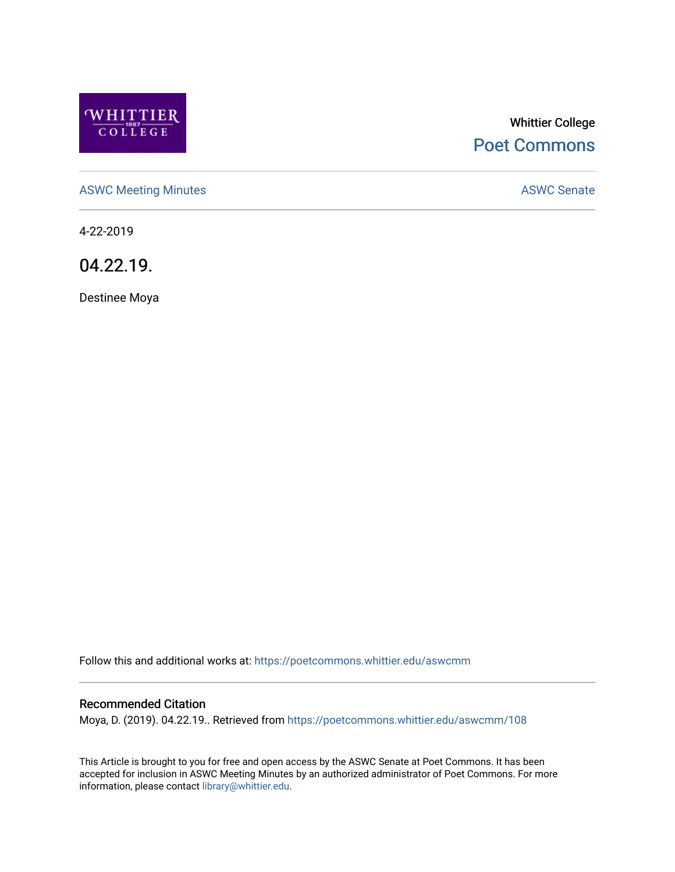

# Whittier College [Poet Commons](https://poetcommons.whittier.edu/)

[ASWC Meeting Minutes](https://poetcommons.whittier.edu/aswcmm) **ASWC Senate** 

4-22-2019

04.22.19.

Destinee Moya

Follow this and additional works at: [https://poetcommons.whittier.edu/aswcmm](https://poetcommons.whittier.edu/aswcmm?utm_source=poetcommons.whittier.edu%2Faswcmm%2F108&utm_medium=PDF&utm_campaign=PDFCoverPages)

## Recommended Citation

Moya, D. (2019). 04.22.19.. Retrieved from [https://poetcommons.whittier.edu/aswcmm/108](https://poetcommons.whittier.edu/aswcmm/108?utm_source=poetcommons.whittier.edu%2Faswcmm%2F108&utm_medium=PDF&utm_campaign=PDFCoverPages)

This Article is brought to you for free and open access by the ASWC Senate at Poet Commons. It has been accepted for inclusion in ASWC Meeting Minutes by an authorized administrator of Poet Commons. For more information, please contact [library@whittier.edu.](mailto:library@whittier.edu)